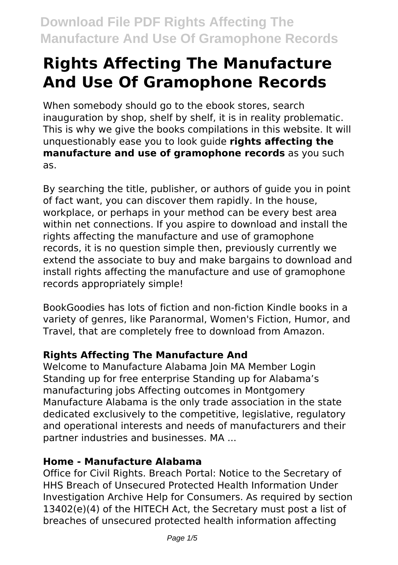# **Rights Affecting The Manufacture And Use Of Gramophone Records**

When somebody should go to the ebook stores, search inauguration by shop, shelf by shelf, it is in reality problematic. This is why we give the books compilations in this website. It will unquestionably ease you to look guide **rights affecting the manufacture and use of gramophone records** as you such as.

By searching the title, publisher, or authors of guide you in point of fact want, you can discover them rapidly. In the house, workplace, or perhaps in your method can be every best area within net connections. If you aspire to download and install the rights affecting the manufacture and use of gramophone records, it is no question simple then, previously currently we extend the associate to buy and make bargains to download and install rights affecting the manufacture and use of gramophone records appropriately simple!

BookGoodies has lots of fiction and non-fiction Kindle books in a variety of genres, like Paranormal, Women's Fiction, Humor, and Travel, that are completely free to download from Amazon.

### **Rights Affecting The Manufacture And**

Welcome to Manufacture Alabama Join MA Member Login Standing up for free enterprise Standing up for Alabama's manufacturing jobs Affecting outcomes in Montgomery Manufacture Alabama is the only trade association in the state dedicated exclusively to the competitive, legislative, regulatory and operational interests and needs of manufacturers and their partner industries and businesses. MA ...

### **Home - Manufacture Alabama**

Office for Civil Rights. Breach Portal: Notice to the Secretary of HHS Breach of Unsecured Protected Health Information Under Investigation Archive Help for Consumers. As required by section 13402(e)(4) of the HITECH Act, the Secretary must post a list of breaches of unsecured protected health information affecting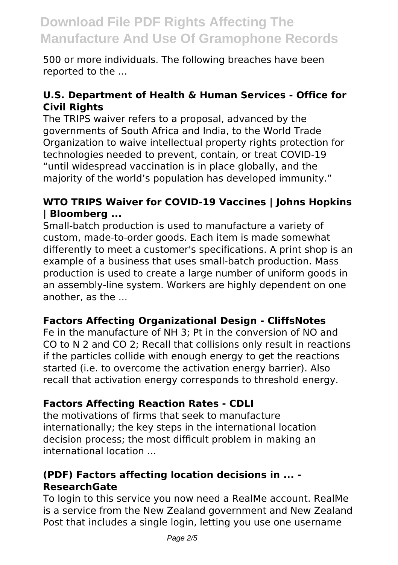500 or more individuals. The following breaches have been reported to the ...

#### **U.S. Department of Health & Human Services - Office for Civil Rights**

The TRIPS waiver refers to a proposal, advanced by the governments of South Africa and India, to the World Trade Organization to waive intellectual property rights protection for technologies needed to prevent, contain, or treat COVID-19 "until widespread vaccination is in place globally, and the majority of the world's population has developed immunity."

#### **WTO TRIPS Waiver for COVID-19 Vaccines | Johns Hopkins | Bloomberg ...**

Small‐batch production is used to manufacture a variety of custom, made‐to‐order goods. Each item is made somewhat differently to meet a customer's specifications. A print shop is an example of a business that uses small‐batch production. Mass production is used to create a large number of uniform goods in an assembly‐line system. Workers are highly dependent on one another, as the ...

#### **Factors Affecting Organizational Design - CliffsNotes**

Fe in the manufacture of NH 3; Pt in the conversion of NO and CO to N 2 and CO 2; Recall that collisions only result in reactions if the particles collide with enough energy to get the reactions started (i.e. to overcome the activation energy barrier). Also recall that activation energy corresponds to threshold energy.

#### **Factors Affecting Reaction Rates - CDLI**

the motivations of firms that seek to manufacture internationally; the key steps in the international location decision process; the most difficult problem in making an international location ...

#### **(PDF) Factors affecting location decisions in ... - ResearchGate**

To login to this service you now need a RealMe account. RealMe is a service from the New Zealand government and New Zealand Post that includes a single login, letting you use one username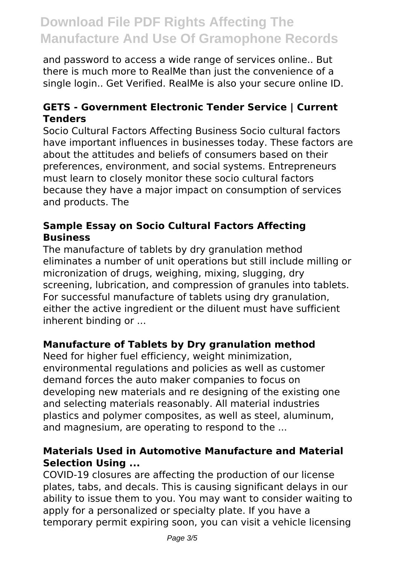and password to access a wide range of services online.. But there is much more to RealMe than just the convenience of a single login.. Get Verified. RealMe is also your secure online ID.

#### **GETS - Government Electronic Tender Service | Current Tenders**

Socio Cultural Factors Affecting Business Socio cultural factors have important influences in businesses today. These factors are about the attitudes and beliefs of consumers based on their preferences, environment, and social systems. Entrepreneurs must learn to closely monitor these socio cultural factors because they have a major impact on consumption of services and products. The

#### **Sample Essay on Socio Cultural Factors Affecting Business**

The manufacture of tablets by dry granulation method eliminates a number of unit operations but still include milling or micronization of drugs, weighing, mixing, slugging, dry screening, lubrication, and compression of granules into tablets. For successful manufacture of tablets using dry granulation, either the active ingredient or the diluent must have sufficient inherent binding or ...

#### **Manufacture of Tablets by Dry granulation method**

Need for higher fuel efficiency, weight minimization, environmental regulations and policies as well as customer demand forces the auto maker companies to focus on developing new materials and re designing of the existing one and selecting materials reasonably. All material industries plastics and polymer composites, as well as steel, aluminum, and magnesium, are operating to respond to the ...

#### **Materials Used in Automotive Manufacture and Material Selection Using ...**

COVID-19 closures are affecting the production of our license plates, tabs, and decals. This is causing significant delays in our ability to issue them to you. You may want to consider waiting to apply for a personalized or specialty plate. If you have a temporary permit expiring soon, you can visit a vehicle licensing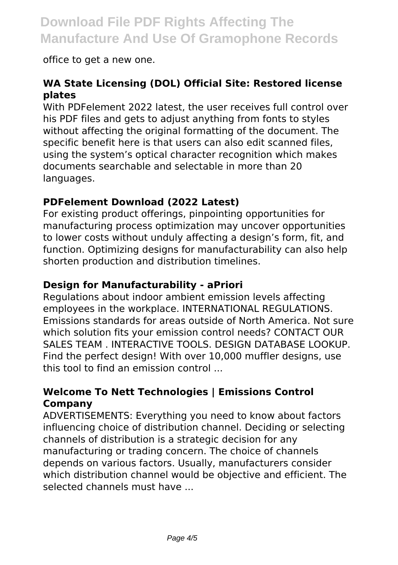office to get a new one.

#### **WA State Licensing (DOL) Official Site: Restored license plates**

With PDFelement 2022 latest, the user receives full control over his PDF files and gets to adjust anything from fonts to styles without affecting the original formatting of the document. The specific benefit here is that users can also edit scanned files, using the system's optical character recognition which makes documents searchable and selectable in more than 20 languages.

#### **PDFelement Download (2022 Latest)**

For existing product offerings, pinpointing opportunities for manufacturing process optimization may uncover opportunities to lower costs without unduly affecting a design's form, fit, and function. Optimizing designs for manufacturability can also help shorten production and distribution timelines.

#### **Design for Manufacturability - aPriori**

Regulations about indoor ambient emission levels affecting employees in the workplace. INTERNATIONAL REGULATIONS. Emissions standards for areas outside of North America. Not sure which solution fits your emission control needs? CONTACT OUR SALES TEAM . INTERACTIVE TOOLS. DESIGN DATABASE LOOKUP. Find the perfect design! With over 10,000 muffler designs, use this tool to find an emission control ...

#### **Welcome To Nett Technologies | Emissions Control Company**

ADVERTISEMENTS: Everything you need to know about factors influencing choice of distribution channel. Deciding or selecting channels of distribution is a strategic decision for any manufacturing or trading concern. The choice of channels depends on various factors. Usually, manufacturers consider which distribution channel would be objective and efficient. The selected channels must have ...